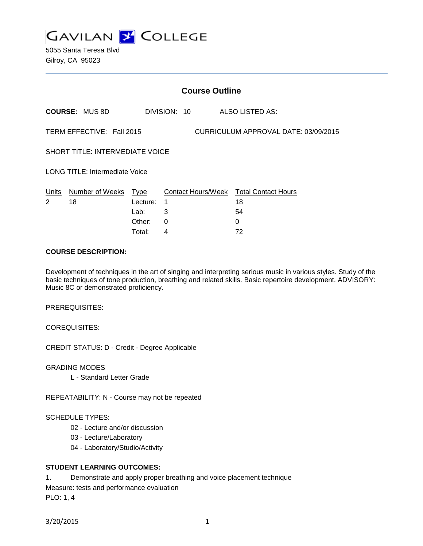

5055 Santa Teresa Blvd Gilroy, CA 95023

|                                                                   |                            |          | <b>Course Outline</b> |                                        |
|-------------------------------------------------------------------|----------------------------|----------|-----------------------|----------------------------------------|
|                                                                   | <b>COURSE: MUS 8D</b>      |          | DIVISION: 10          | ALSO LISTED AS:                        |
| CURRICULUM APPROVAL DATE: 03/09/2015<br>TERM EFFECTIVE: Fall 2015 |                            |          |                       |                                        |
| <b>SHORT TITLE: INTERMEDIATE VOICE</b>                            |                            |          |                       |                                        |
| <b>LONG TITLE: Intermediate Voice</b>                             |                            |          |                       |                                        |
|                                                                   | Units Number of Weeks Type |          |                       | Contact Hours/Week Total Contact Hours |
| 2                                                                 | 18                         | Lecture: | 1                     | 18                                     |
|                                                                   |                            | Lab:     | 3                     | 54                                     |
|                                                                   |                            | Other:   | 0                     | 0                                      |
|                                                                   |                            | Total:   | 4                     | 72                                     |

### **COURSE DESCRIPTION:**

Development of techniques in the art of singing and interpreting serious music in various styles. Study of the basic techniques of tone production, breathing and related skills. Basic repertoire development. ADVISORY: Music 8C or demonstrated proficiency.

PREREQUISITES:

COREQUISITES:

CREDIT STATUS: D - Credit - Degree Applicable

GRADING MODES

L - Standard Letter Grade

REPEATABILITY: N - Course may not be repeated

### SCHEDULE TYPES:

- 02 Lecture and/or discussion
- 03 Lecture/Laboratory
- 04 Laboratory/Studio/Activity

### **STUDENT LEARNING OUTCOMES:**

1. Demonstrate and apply proper breathing and voice placement technique

Measure: tests and performance evaluation

PLO: 1, 4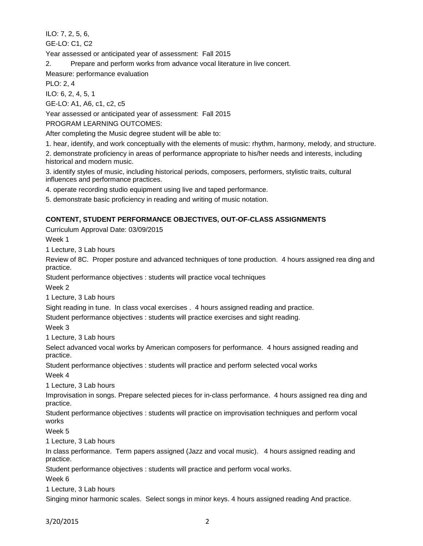ILO: 7, 2, 5, 6,

GE-LO: C1, C2

Year assessed or anticipated year of assessment: Fall 2015

2. Prepare and perform works from advance vocal literature in live concert.

Measure: performance evaluation

PLO: 2, 4

ILO: 6, 2, 4, 5, 1

GE-LO: A1, A6, c1, c2, c5

Year assessed or anticipated year of assessment: Fall 2015

PROGRAM LEARNING OUTCOMES:

After completing the Music degree student will be able to:

1. hear, identify, and work conceptually with the elements of music: rhythm, harmony, melody, and structure.

2. demonstrate proficiency in areas of performance appropriate to his/her needs and interests, including historical and modern music.

3. identify styles of music, including historical periods, composers, performers, stylistic traits, cultural influences and performance practices.

4. operate recording studio equipment using live and taped performance.

5. demonstrate basic proficiency in reading and writing of music notation.

# **CONTENT, STUDENT PERFORMANCE OBJECTIVES, OUT-OF-CLASS ASSIGNMENTS**

Curriculum Approval Date: 03/09/2015

Week 1

1 Lecture, 3 Lab hours

Review of 8C. Proper posture and advanced techniques of tone production. 4 hours assigned rea ding and practice.

Student performance objectives : students will practice vocal techniques

Week 2

1 Lecture, 3 Lab hours

Sight reading in tune. In class vocal exercises . 4 hours assigned reading and practice.

Student performance objectives : students will practice exercises and sight reading.

Week 3

1 Lecture, 3 Lab hours

Select advanced vocal works by American composers for performance. 4 hours assigned reading and practice.

Student performance objectives : students will practice and perform selected vocal works

Week 4

1 Lecture, 3 Lab hours

Improvisation in songs. Prepare selected pieces for in-class performance. 4 hours assigned rea ding and practice.

Student performance objectives : students will practice on improvisation techniques and perform vocal works

Week 5

1 Lecture, 3 Lab hours

In class performance. Term papers assigned (Jazz and vocal music). 4 hours assigned reading and practice.

Student performance objectives : students will practice and perform vocal works.

Week 6

1 Lecture, 3 Lab hours

Singing minor harmonic scales. Select songs in minor keys. 4 hours assigned reading And practice.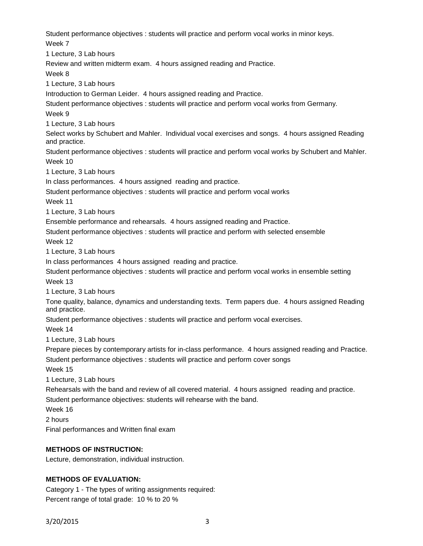Student performance objectives : students will practice and perform vocal works in minor keys. Week 7

1 Lecture, 3 Lab hours

Review and written midterm exam. 4 hours assigned reading and Practice.

Week 8

1 Lecture, 3 Lab hours

Introduction to German Leider. 4 hours assigned reading and Practice.

Student performance objectives : students will practice and perform vocal works from Germany.

Week 9

1 Lecture, 3 Lab hours

Select works by Schubert and Mahler. Individual vocal exercises and songs. 4 hours assigned Reading and practice.

Student performance objectives : students will practice and perform vocal works by Schubert and Mahler. Week 10

1 Lecture, 3 Lab hours

In class performances. 4 hours assigned reading and practice.

Student performance objectives : students will practice and perform vocal works

Week 11

1 Lecture, 3 Lab hours

Ensemble performance and rehearsals. 4 hours assigned reading and Practice.

Student performance objectives : students will practice and perform with selected ensemble Week 12

1 Lecture, 3 Lab hours

In class performances 4 hours assigned reading and practice.

Student performance objectives : students will practice and perform vocal works in ensemble setting Week 13

1 Lecture, 3 Lab hours

Tone quality, balance, dynamics and understanding texts. Term papers due. 4 hours assigned Reading and practice.

Student performance objectives : students will practice and perform vocal exercises.

Week 14

1 Lecture, 3 Lab hours

Prepare pieces by contemporary artists for in-class performance. 4 hours assigned reading and Practice.

Student performance objectives : students will practice and perform cover songs

Week 15

1 Lecture, 3 Lab hours

Rehearsals with the band and review of all covered material. 4 hours assigned reading and practice. Student performance objectives: students will rehearse with the band.

Week 16

2 hours

Final performances and Written final exam

## **METHODS OF INSTRUCTION:**

Lecture, demonstration, individual instruction.

## **METHODS OF EVALUATION:**

Category 1 - The types of writing assignments required: Percent range of total grade: 10 % to 20 %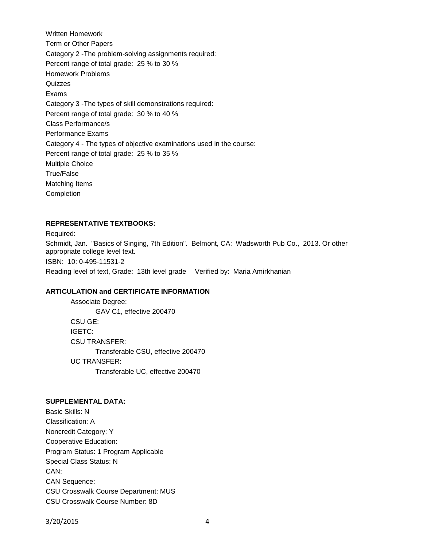Written Homework Term or Other Papers Category 2 -The problem-solving assignments required: Percent range of total grade: 25 % to 30 % Homework Problems **Quizzes** Exams Category 3 -The types of skill demonstrations required: Percent range of total grade: 30 % to 40 % Class Performance/s Performance Exams Category 4 - The types of objective examinations used in the course: Percent range of total grade: 25 % to 35 % Multiple Choice True/False Matching Items Completion

### **REPRESENTATIVE TEXTBOOKS:**

Required: Schmidt, Jan. "Basics of Singing, 7th Edition". Belmont, CA: Wadsworth Pub Co., 2013. Or other appropriate college level text. ISBN: 10: 0-495-11531-2

Reading level of text, Grade: 13th level grade Verified by: Maria Amirkhanian

#### **ARTICULATION and CERTIFICATE INFORMATION**

Associate Degree: GAV C1, effective 200470 CSU GE: IGETC: CSU TRANSFER: Transferable CSU, effective 200470 UC TRANSFER: Transferable UC, effective 200470

#### **SUPPLEMENTAL DATA:**

Basic Skills: N Classification: A Noncredit Category: Y Cooperative Education: Program Status: 1 Program Applicable Special Class Status: N CAN: CAN Sequence: CSU Crosswalk Course Department: MUS CSU Crosswalk Course Number: 8D